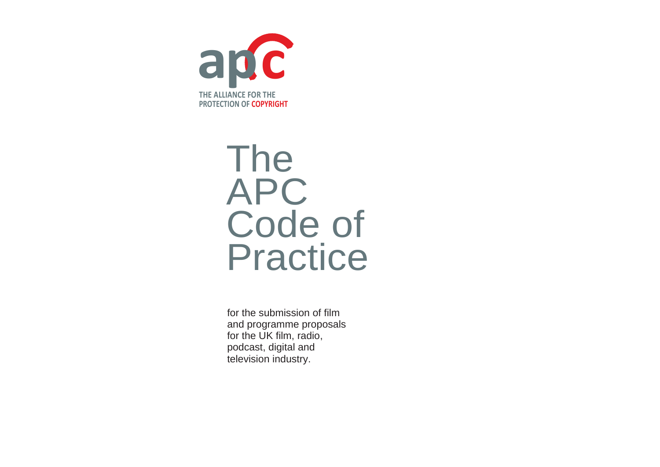

# The APC Code of Practice

for the submission of film and programme proposals for the UK film, radio, podcast, digital and television industry.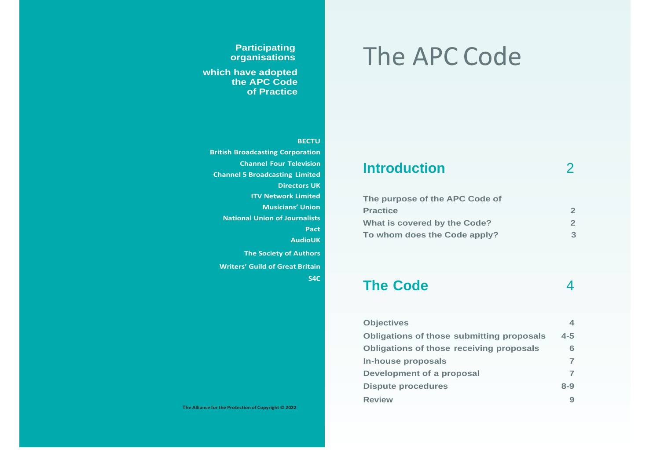#### **Participating organisations**

**which have adopted the APC Code of Practice**

#### **BECTU**

**British Broadcasting Corporation Channel Four Television Channel 5 Broadcasting Limited Directors UK ITV Network Limited Musicians' Union National Union of Journalists Pact AudioUK The Society of Authors Writers' Guild of Great Britain S4C**

# The APC Code

### **Introduction** 2

| The purpose of the APC Code of |              |
|--------------------------------|--------------|
| <b>Practice</b>                | $\mathbf{2}$ |
| What is covered by the Code?   | $\mathbf{2}$ |
| To whom does the Code apply?   | З            |

### **The Code** 4

| <b>Objectives</b>                                | $\blacktriangle$ |
|--------------------------------------------------|------------------|
| <b>Obligations of those submitting proposals</b> | $4 - 5$          |
| <b>Obligations of those receiving proposals</b>  | 6                |
| In-house proposals                               | $\overline{ }$   |
| Development of a proposal                        |                  |
| <b>Dispute procedures</b>                        | $8 - 9$          |
| <b>Review</b>                                    | 9                |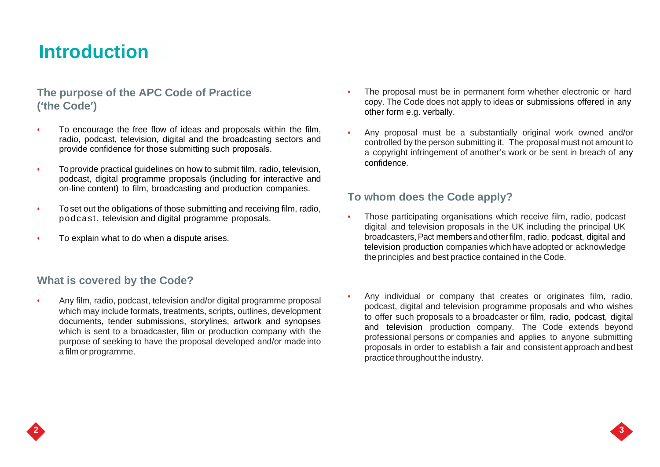### **Introduction**

### **The purpose of the APC Code of Practice ('the Code')**

- To encourage the free flow of ideas and proposals within the film, radio, podcast, television, digital and the broadcasting sectors and provide confidence for those submitting such proposals.
- To provide practical guidelines on how to submit film, radio, television, podcast, digital programme proposals (including for interactive and on-line content) to film, broadcasting and production companies.
- To set out the obligations of those submitting and receiving film, radio, podcast, television and digital programme proposals.
- To explain what to do when a dispute arises.

### **What is covered by the Code?**

• Any film, radio, podcast, television and/or digital programme proposal which may include formats, treatments, scripts, outlines, development documents, tender submissions, storylines, artwork and synopses which is sent to a broadcaster, film or production company with the purpose of seeking to have the proposal developed and/or made into a film or programme.

- The proposal must be in permanent form whether electronic or hard copy. The Code does not apply to ideas or submissions offered in any other form e.g. verbally.
- Any proposal must be a substantially original work owned and/or controlled by the person submitting it. The proposal must not amount to a copyright infringement of another's work or be sent in breach of any confidence.

### **To whom does the Code apply?**

- Those participating organisations which receive film, radio, podcast digital and television proposals in the UK including the principal UK broadcasters,Pact membersandotherfilm, radio, podcast, digital and television production companies which have adopted or acknowledge theprinciples and best practice contained in the Code.
- Any individual or company that creates or originates film, radio, podcast, digital and television programme proposals and who wishes to offer such proposals to a broadcaster or film, radio, podcast, digital and television production company. The Code extends beyond professional persons or companies and applies to anyone submitting proposals in order to establish a fair and consistent approach and best practice throughout the industry.

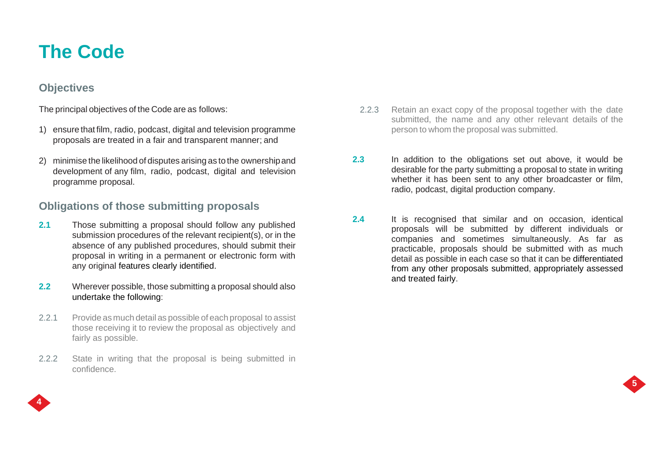## **The Code**

### **Objectives**

The principal objectives of the Code are as follows:

- 1) ensure that film, radio, podcast, digital and television programme proposals are treated in a fair and transparent manner; and
- 2) minimise the likelihood of disputes arising as to the ownershipand development of any film, radio, podcast, digital and television programme proposal.

### **Obligations of those submitting proposals**

- **2.1** Those submitting a proposal should follow any published submission procedures of the relevant recipient(s), or in the absence of any published procedures, should submit their proposal in writing in a permanent or electronic form with any original features clearly identified.
- **2.2** Wherever possible, those submitting a proposal should also undertake the following:
- 2.2.1 Provide as much detail as possible of each proposal to assist those receiving it to review the proposal as objectively and fairly as possible.
- 2.2.2 State in writing that the proposal is being submitted in confidence.
- 2.2.3 Retain an exact copy of the proposal together with the date submitted, the name and any other relevant details of the person to whom the proposal was submitted.
- **2.3** In addition to the obligations set out above, it would be desirable for the party submitting a proposal to state in writing whether it has been sent to any other broadcaster or film, radio, podcast, digital production company.
- **2.4** It is recognised that similar and on occasion, identical proposals will be submitted by different individuals or companies and sometimes simultaneously. As far as practicable, proposals should be submitted with as much detail as possible in each case so that it can be differentiated from any other proposals submitted, appropriately assessed and treated fairly.



**5**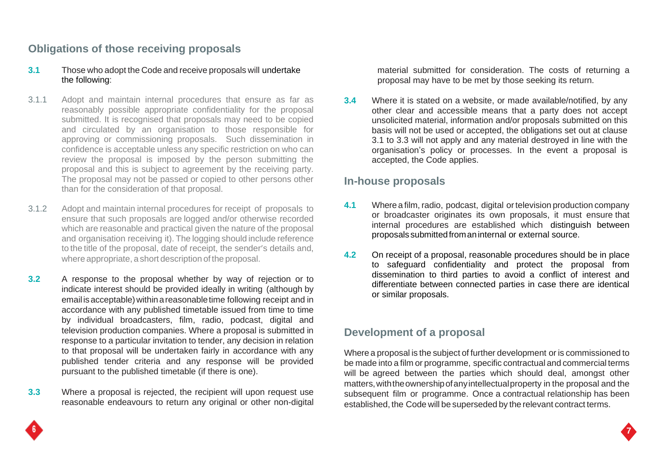### **Obligations of those receiving proposals**

#### **3.1** Those who adopt the Code and receive proposals will undertake the following:

- 3.1.1 Adopt and maintain internal procedures that ensure as far as reasonably possible appropriate confidentiality for the proposal submitted. It is recognised that proposals may need to be copied and circulated by an organisation to those responsible for approving or commissioning proposals. Such dissemination in confidence is acceptable unless any specific restriction on who can review the proposal is imposed by the person submitting the proposal and this is subject to agreement by the receiving party. The proposal may not be passed or copied to other persons other than for the consideration of that proposal.
- 3.1.2 Adopt and maintain internal procedures for receipt of proposals to ensure that such proposals are logged and/or otherwise recorded which are reasonable and practical given the nature of the proposal and organisation receiving it). The logging should include reference to the title of the proposal, date of receipt, the sender's details and, where appropriate, a short description of the proposal.
- **3.2** A response to the proposal whether by way of rejection or to indicate interest should be provided ideally in writing (although by email is acceptable) within a reasonable time following receipt and in accordance with any published timetable issued from time to time by individual broadcasters, film, radio, podcast, digital and television production companies. Where a proposal is submitted in response to a particular invitation to tender, any decision in relation to that proposal will be undertaken fairly in accordance with any published tender criteria and any response will be provided pursuant to the published timetable (if there is one).
- **3.3** Where a proposal is rejected, the recipient will upon request use reasonable endeavours to return any original or other non-digital

material submitted for consideration. The costs of returning a proposal may have to be met by those seeking its return.

**3.4** Where it is stated on a website, or made available/notified, by any other clear and accessible means that a party does not accept unsolicited material, information and/or proposals submitted on this basis will not be used or accepted, the obligations set out at clause 3.1 to 3.3 will not apply and any material destroyed in line with the organisation's policy or processes. In the event a proposal is accepted, the Code applies.

### **In-house proposals**

- **4.1** Where a film, radio, podcast, digital ortelevision production company or broadcaster originates its own proposals, it must ensure that internal procedures are established which distinguish between proposals submittedfromaninternal or external source.
- **4.2** On receipt of a proposal, reasonable procedures should be in place to safeguard confidentiality and protect the proposal from dissemination to third parties to avoid a conflict of interest and differentiate between connected parties in case there are identical or similar proposals.

### **Development of a proposal**

Where a proposal is the subject of further development or is commissioned to be made into a film or programme, specific contractual and commercial terms will be agreed between the parties which should deal, amongst other matters,withtheownershipofanyintellectualproperty in the proposal and the subsequent film or programme. Once a contractual relationship has been established, the Code will be superseded by the relevant contract terms.

**7**

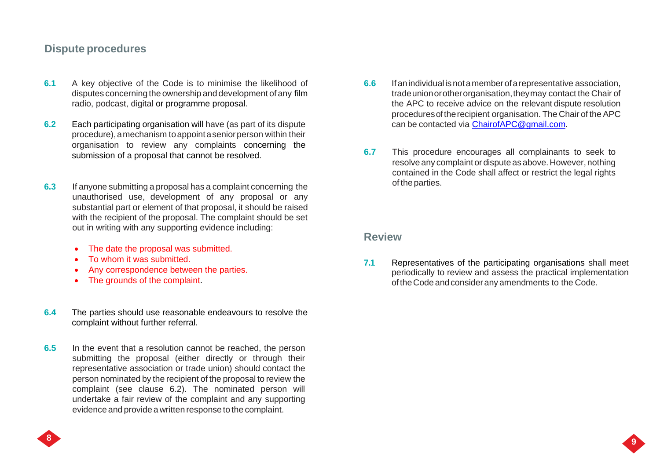### **Dispute procedures**

- **6.1** A key objective of the Code is to minimise the likelihood of disputes concerning the ownership and development of any film radio, podcast, digital or programme proposal.
- **6.2** Each participating organisation will have (as part of its dispute procedure),amechanism toappointaseniorperson within their organisation to review any complaints concerning the
- **6.3** If anyone submitting a proposal has a complaint concerning the **Example 1** of the parties. unauthorised use, development of any proposal or any substantial part or element of that proposal, it should be raised with the recipient of the proposal. The complaint should be set out in writing with any supporting evidence including:
	- The date the proposal was submitted.
	- To whom it was submitted.
	- Any correspondence between the parties.
	- The grounds of the complaint.
- **6.4** The parties should use reasonable endeavours to resolve the complaint without further referral.
- **6.5** In the event that a resolution cannot be reached, the person submitting the proposal (either directly or through their representative association or trade union) should contact the person nominated by the recipient of the proposal to review the complaint (see clause 6.2). The nominated person will undertake a fair review of the complaint and any supporting evidence and provide a written response to the complaint.
- **6.6** Ifanindividual isnotamemberofarepresentative association, tradeunionorotherorganisation,theymay contact the Chair of the APC to receive advice on the relevant dispute resolution proceduresoftherecipient organisation. The Chair of the APC can be contacted via [ChairofAPC@gmail.com.](mailto:ChairofAPC@gmail.com)
- submission of a proposal that cannot be resolved. **6.7** This procedure encourages all complainants to seek to resolve any complaint or dispute as above. However, nothing contained in the Code shall affect or restrict the legal rights

### **Review**

**7.1** Representatives of the participating organisations shall meet periodically to review and assess the practical implementation oftheCode andconsiderany amendments to the Code.

**9**

**9**

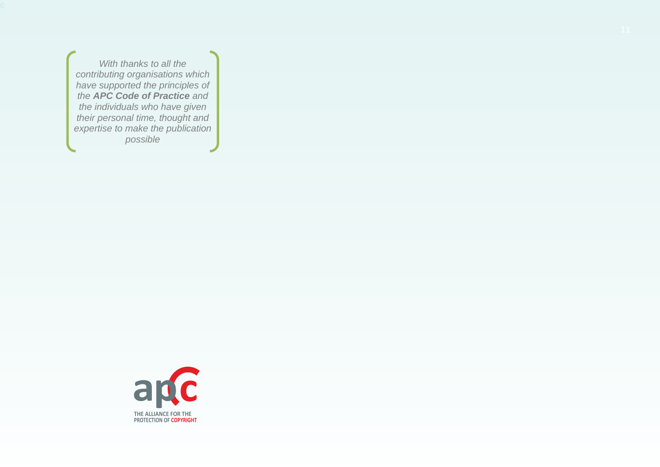*With thanks to all the contributing organisations which have supported the principles of the APC Code of Practice and the individuals who have given their personal time, thought and expertise to make the publication possible*